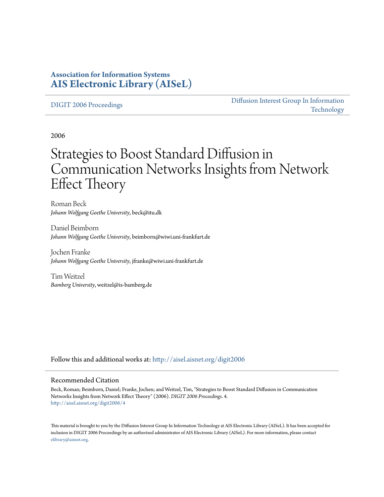### **Association for Information Systems [AIS Electronic Library \(AISeL\)](http://aisel.aisnet.org?utm_source=aisel.aisnet.org%2Fdigit2006%2F4&utm_medium=PDF&utm_campaign=PDFCoverPages)**

#### [DIGIT 2006 Proceedings](http://aisel.aisnet.org/digit2006?utm_source=aisel.aisnet.org%2Fdigit2006%2F4&utm_medium=PDF&utm_campaign=PDFCoverPages)

[Diffusion Interest Group In Information](http://aisel.aisnet.org/digit?utm_source=aisel.aisnet.org%2Fdigit2006%2F4&utm_medium=PDF&utm_campaign=PDFCoverPages) [Technology](http://aisel.aisnet.org/digit?utm_source=aisel.aisnet.org%2Fdigit2006%2F4&utm_medium=PDF&utm_campaign=PDFCoverPages)

2006

# Strategies to Boost Standard Diffusion in Communication Networks Insights from Network Effect Theory

Roman Beck *Johann Wolfgang Goethe University*, beck@itu.dk

Daniel Beimborn *Johann Wolfgang Goethe University*, beimborn@wiwi.uni-frankfurt.de

Jochen Franke *Johann Wolfgang Goethe University*, jfranke@wiwi.uni-frankfurt.de

Tim Weitzel *Bamberg University*, weitzel@is-bamberg.de

Follow this and additional works at: [http://aisel.aisnet.org/digit2006](http://aisel.aisnet.org/digit2006?utm_source=aisel.aisnet.org%2Fdigit2006%2F4&utm_medium=PDF&utm_campaign=PDFCoverPages)

#### Recommended Citation

Beck, Roman; Beimborn, Daniel; Franke, Jochen; and Weitzel, Tim, "Strategies to Boost Standard Diffusion in Communication Networks Insights from Network Effect Theory" (2006). *DIGIT 2006 Proceedings*. 4. [http://aisel.aisnet.org/digit2006/4](http://aisel.aisnet.org/digit2006/4?utm_source=aisel.aisnet.org%2Fdigit2006%2F4&utm_medium=PDF&utm_campaign=PDFCoverPages)

This material is brought to you by the Diffusion Interest Group In Information Technology at AIS Electronic Library (AISeL). It has been accepted for inclusion in DIGIT 2006 Proceedings by an authorized administrator of AIS Electronic Library (AISeL). For more information, please contact [elibrary@aisnet.org.](mailto:elibrary@aisnet.org%3E)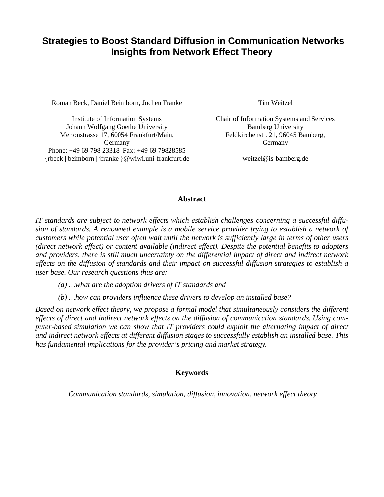### **Strategies to Boost Standard Diffusion in Communication Networks Insights from Network Effect Theory**

Roman Beck, Daniel Beimborn, Jochen Franke Tim Weitzel

Institute of Information Systems Johann Wolfgang Goethe University Mertonstrasse 17, 60054 Frankfurt/Main, Germany Phone: +49 69 798 23318 Fax: +49 69 79828585 {rbeck | beimborn | jfranke }@wiwi.uni-frankfurt.de

Chair of Information Systems and Services Bamberg University Feldkirchenstr. 21, 96045 Bamberg, Germany

weitzel@is-bamberg.de

#### **Abstract**

*IT standards are subject to network effects which establish challenges concerning a successful diffusion of standards. A renowned example is a mobile service provider trying to establish a network of customers while potential user often wait until the network is sufficiently large in terms of other users (direct network effect) or content available (indirect effect). Despite the potential benefits to adopters and providers, there is still much uncertainty on the differential impact of direct and indirect network effects on the diffusion of standards and their impact on successful diffusion strategies to establish a user base. Our research questions thus are:* 

*(a) …what are the adoption drivers of IT standards and* 

*(b) …how can providers influence these drivers to develop an installed base?* 

*Based on network effect theory, we propose a formal model that simultaneously considers the different effects of direct and indirect network effects on the diffusion of communication standards. Using computer-based simulation we can show that IT providers could exploit the alternating impact of direct and indirect network effects at different diffusion stages to successfully establish an installed base. This has fundamental implications for the provider's pricing and market strategy.* 

#### **Keywords**

*Communication standards, simulation, diffusion, innovation, network effect theory*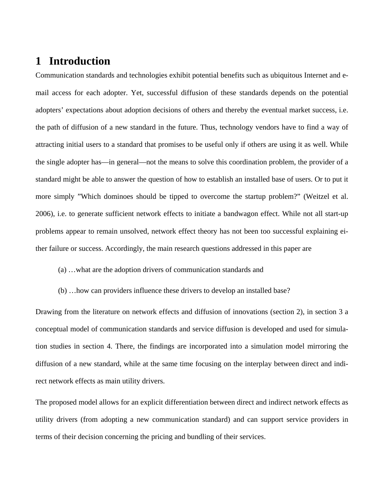# **1 Introduction**

Communication standards and technologies exhibit potential benefits such as ubiquitous Internet and email access for each adopter. Yet, successful diffusion of these standards depends on the potential adopters' expectations about adoption decisions of others and thereby the eventual market success, i.e. the path of diffusion of a new standard in the future. Thus, technology vendors have to find a way of attracting initial users to a standard that promises to be useful only if others are using it as well. While the single adopter has—in general—not the means to solve this coordination problem, the provider of a standard might be able to answer the question of how to establish an installed base of users. Or to put it more simply "Which dominoes should be tipped to overcome the startup problem?" (Weitzel et al. 2006), i.e. to generate sufficient network effects to initiate a bandwagon effect. While not all start-up problems appear to remain unsolved, network effect theory has not been too successful explaining either failure or success. Accordingly, the main research questions addressed in this paper are

(a) …what are the adoption drivers of communication standards and

(b) …how can providers influence these drivers to develop an installed base?

Drawing from the literature on network effects and diffusion of innovations (section 2), in section 3 a conceptual model of communication standards and service diffusion is developed and used for simulation studies in section 4. There, the findings are incorporated into a simulation model mirroring the diffusion of a new standard, while at the same time focusing on the interplay between direct and indirect network effects as main utility drivers.

The proposed model allows for an explicit differentiation between direct and indirect network effects as utility drivers (from adopting a new communication standard) and can support service providers in terms of their decision concerning the pricing and bundling of their services.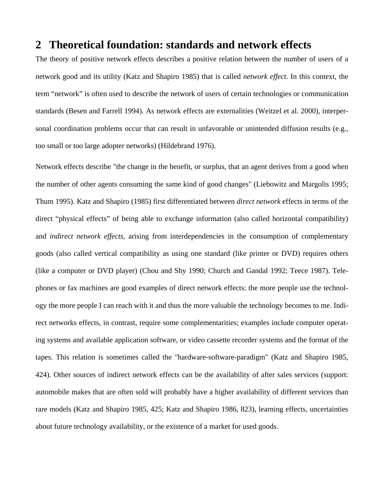### **2 Theoretical foundation: standards and network effects**

The theory of positive network effects describes a positive relation between the number of users of a network good and its utility (Katz and Shapiro 1985) that is called *network effect*. In this context, the term "network" is often used to describe the network of users of certain technologies or communication standards (Besen and Farrell 1994). As network effects are externalities (Weitzel et al. 2000), interpersonal coordination problems occur that can result in unfavorable or unintended diffusion results (e.g., too small or too large adopter networks) (Hildebrand 1976).

Network effects describe "the change in the benefit, or surplus, that an agent derives from a good when the number of other agents consuming the same kind of good changes" (Liebowitz and Margolis 1995; Thum 1995). Katz and Shapiro (1985) first differentiated between *direct network* effects in terms of the direct "physical effects" of being able to exchange information (also called horizontal compatibility) and *indirect network effects*, arising from interdependencies in the consumption of complementary goods (also called vertical compatibility as using one standard (like printer or DVD) requires others (like a computer or DVD player) (Chou and Shy 1990; Church and Gandal 1992; Teece 1987). Telephones or fax machines are good examples of direct network effects: the more people use the technology the more people I can reach with it and thus the more valuable the technology becomes to me. Indirect networks effects, in contrast, require some complementarities; examples include computer operating systems and available application software, or video cassette recorder systems and the format of the tapes. This relation is sometimes called the "hardware-software-paradigm" (Katz and Shapiro 1985, 424). Other sources of indirect network effects can be the availability of after sales services (support: automobile makes that are often sold will probably have a higher availability of different services than rare models (Katz and Shapiro 1985, 425; Katz and Shapiro 1986, 823), learning effects, uncertainties about future technology availability, or the existence of a market for used goods.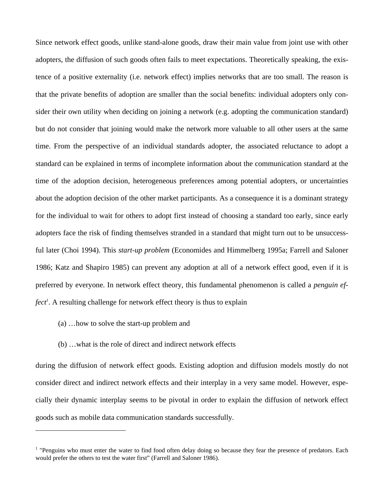Since network effect goods, unlike stand-alone goods, draw their main value from joint use with other adopters, the diffusion of such goods often fails to meet expectations. Theoretically speaking, the existence of a positive externality (i.e. network effect) implies networks that are too small. The reason is that the private benefits of adoption are smaller than the social benefits: individual adopters only consider their own utility when deciding on joining a network (e.g. adopting the communication standard) but do not consider that joining would make the network more valuable to all other users at the same time. From the perspective of an individual standards adopter, the associated reluctance to adopt a standard can be explained in terms of incomplete information about the communication standard at the time of the adoption decision, heterogeneous preferences among potential adopters, or uncertainties about the adoption decision of the other market participants. As a consequence it is a dominant strategy for the individual to wait for others to adopt first instead of choosing a standard too early, since early adopters face the risk of finding themselves stranded in a standard that might turn out to be unsuccessful later (Choi 1994). This *start-up problem* (Economides and Himmelberg 1995a; Farrell and Saloner 1986; Katz and Shapiro 1985) can prevent any adoption at all of a network effect good, even if it is preferred by everyone. In network effect theory, this fundamental phenomenon is called a *penguin ef*fect<sup>1</sup>. A resulting challenge for network effect theory is thus to explain

(a) …how to solve the start-up problem and

 $\overline{a}$ 

(b) …what is the role of direct and indirect network effects

during the diffusion of network effect goods. Existing adoption and diffusion models mostly do not consider direct and indirect network effects and their interplay in a very same model. However, especially their dynamic interplay seems to be pivotal in order to explain the diffusion of network effect goods such as mobile data communication standards successfully.

<sup>&</sup>lt;sup>1</sup> "Penguins who must enter the water to find food often delay doing so because they fear the presence of predators. Each would prefer the others to test the water first" (Farrell and Saloner 1986).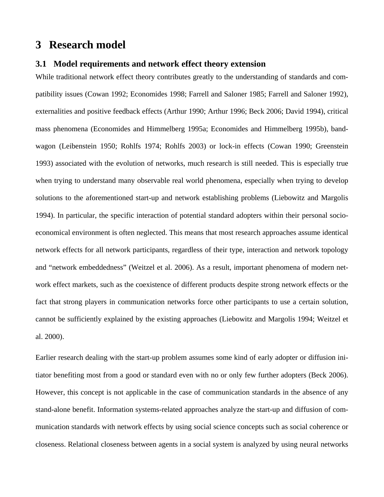## **3 Research model**

#### **3.1 Model requirements and network effect theory extension**

While traditional network effect theory contributes greatly to the understanding of standards and compatibility issues (Cowan 1992; Economides 1998; Farrell and Saloner 1985; Farrell and Saloner 1992), externalities and positive feedback effects (Arthur 1990; Arthur 1996; Beck 2006; David 1994), critical mass phenomena (Economides and Himmelberg 1995a; Economides and Himmelberg 1995b), bandwagon (Leibenstein 1950; Rohlfs 1974; Rohlfs 2003) or lock-in effects (Cowan 1990; Greenstein 1993) associated with the evolution of networks, much research is still needed. This is especially true when trying to understand many observable real world phenomena, especially when trying to develop solutions to the aforementioned start-up and network establishing problems (Liebowitz and Margolis 1994). In particular, the specific interaction of potential standard adopters within their personal socioeconomical environment is often neglected. This means that most research approaches assume identical network effects for all network participants, regardless of their type, interaction and network topology and "network embeddedness" (Weitzel et al. 2006). As a result, important phenomena of modern network effect markets, such as the coexistence of different products despite strong network effects or the fact that strong players in communication networks force other participants to use a certain solution, cannot be sufficiently explained by the existing approaches (Liebowitz and Margolis 1994; Weitzel et al. 2000).

Earlier research dealing with the start-up problem assumes some kind of early adopter or diffusion initiator benefiting most from a good or standard even with no or only few further adopters (Beck 2006). However, this concept is not applicable in the case of communication standards in the absence of any stand-alone benefit. Information systems-related approaches analyze the start-up and diffusion of communication standards with network effects by using social science concepts such as social coherence or closeness. Relational closeness between agents in a social system is analyzed by using neural networks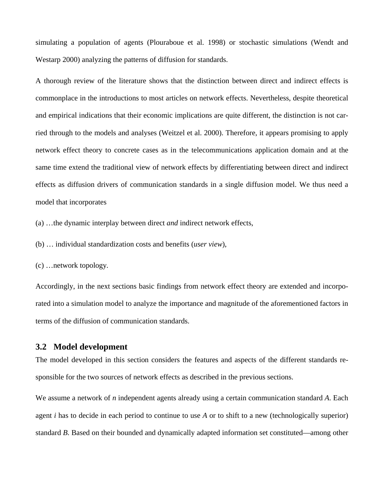simulating a population of agents (Plouraboue et al. 1998) or stochastic simulations (Wendt and Westarp 2000) analyzing the patterns of diffusion for standards.

A thorough review of the literature shows that the distinction between direct and indirect effects is commonplace in the introductions to most articles on network effects. Nevertheless, despite theoretical and empirical indications that their economic implications are quite different, the distinction is not carried through to the models and analyses (Weitzel et al. 2000). Therefore, it appears promising to apply network effect theory to concrete cases as in the telecommunications application domain and at the same time extend the traditional view of network effects by differentiating between direct and indirect effects as diffusion drivers of communication standards in a single diffusion model. We thus need a model that incorporates

(a) …the dynamic interplay between direct *and* indirect network effects,

(b) … individual standardization costs and benefits (*user view*),

(c) …network topology*.* 

Accordingly, in the next sections basic findings from network effect theory are extended and incorporated into a simulation model to analyze the importance and magnitude of the aforementioned factors in terms of the diffusion of communication standards.

#### **3.2 Model development**

The model developed in this section considers the features and aspects of the different standards responsible for the two sources of network effects as described in the previous sections.

We assume a network of *n* independent agents already using a certain communication standard *A*. Each agent *i* has to decide in each period to continue to use *A* or to shift to a new (technologically superior) standard *B*. Based on their bounded and dynamically adapted information set constituted—among other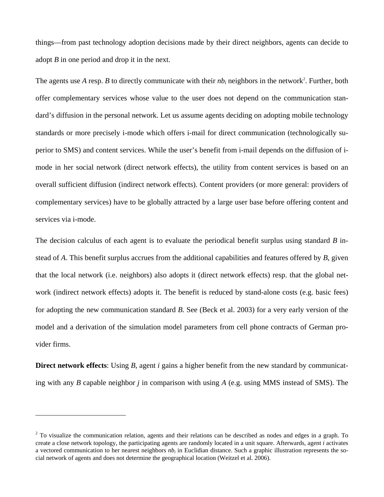things—from past technology adoption decisions made by their direct neighbors, agents can decide to adopt *B* in one period and drop it in the next.

The agents use A resp. B to directly communicate with their  $nb_i$  neighbors in the network<sup>2</sup>. Further, both offer complementary services whose value to the user does not depend on the communication standard's diffusion in the personal network. Let us assume agents deciding on adopting mobile technology standards or more precisely i-mode which offers i-mail for direct communication (technologically superior to SMS) and content services. While the user's benefit from i-mail depends on the diffusion of imode in her social network (direct network effects), the utility from content services is based on an overall sufficient diffusion (indirect network effects). Content providers (or more general: providers of complementary services) have to be globally attracted by a large user base before offering content and services via i-mode.

The decision calculus of each agent is to evaluate the periodical benefit surplus using standard *B* instead of *A*. This benefit surplus accrues from the additional capabilities and features offered by *B*, given that the local network (i.e. neighbors) also adopts it (direct network effects) resp. that the global network (indirect network effects) adopts it. The benefit is reduced by stand-alone costs (e.g. basic fees) for adopting the new communication standard *B*. See (Beck et al. 2003) for a very early version of the model and a derivation of the simulation model parameters from cell phone contracts of German provider firms.

**Direct network effects**: Using *B*, agent *i* gains a higher benefit from the new standard by communicating with any *B* capable neighbor *j* in comparison with using *A* (e.g. using MMS instead of SMS). The

 $\overline{a}$ 

 $2^2$  To visualize the communication relation, agents and their relations can be described as nodes and edges in a graph. To create a close network topology, the participating agents are randomly located in a unit square. Afterwards, agent *i* activates a vectored communication to her nearest neighbors  $nb_i$  in Euclidian distance. Such a graphic illustration represents the social network of agents and does not determine the geographical location (Weitzel et al. 2006).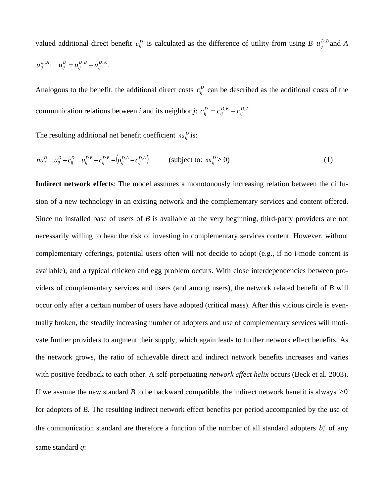valued additional direct benefit  $u_{ij}^D$  is calculated as the difference of utility from using *B*  $u_{ij}^{D,B}$  and *A*  $u_{ij}^{D,A}$ :  $u_{ij}^D = u_{ij}^{D,B} - u_{ij}^{D,A}$ *D B ij*  $u_{ij}^D = u_{ij}^{D,B} - u_{ij}^{D,A}$ .

Analogous to the benefit, the additional direct costs  $c_{ij}^D$  can be described as the additional costs of the communication relations between *i* and its neighbor *j*:  $c_{ij}^{D} = c_{ij}^{D,B} - c_{ij}^{D,A}$ *D B ij*  $c_{ij}^{D} = c_{ij}^{D,B} - c_{ij}^{D,A}$ .

The resulting additional net benefit coefficient  $nu_{ij}^D$  is:

$$
nu_{ij}^D = u_{ij}^D - c_{ij}^D = u_{ij}^{D,B} - c_{ij}^{D,B} - \left(u_{ij}^{D,A} - c_{ij}^{D,A}\right) \qquad \text{(subject to: } nu_{ij}^D \ge 0)
$$
 (1)

**Indirect network effects**: The model assumes a monotonously increasing relation between the diffusion of a new technology in an existing network and the complementary services and content offered. Since no installed base of users of *B* is available at the very beginning, third-party providers are not necessarily willing to bear the risk of investing in complementary services content. However, without complementary offerings, potential users often will not decide to adopt (e.g., if no i-mode content is available), and a typical chicken and egg problem occurs. With close interdependencies between providers of complementary services and users (and among users), the network related benefit of *B* will occur only after a certain number of users have adopted (critical mass). After this vicious circle is eventually broken, the steadily increasing number of adopters and use of complementary services will motivate further providers to augment their supply, which again leads to further network effect benefits. As the network grows, the ratio of achievable direct and indirect network benefits increases and varies with positive feedback to each other. A self-perpetuating *network effect helix* occurs (Beck et al. 2003). If we assume the new standard *B* to be backward compatible, the indirect network benefit is always  $\geq 0$ for adopters of *B*. The resulting indirect network effect benefits per period accompanied by the use of the communication standard are therefore a function of the number of all standard adopters  $b_t^q$  of any same standard *q*: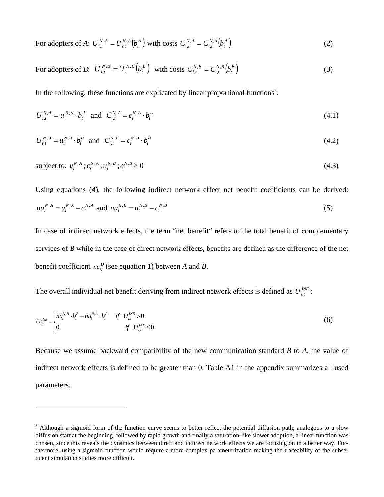For adopters of *A*:  $U_{i,t}^{N,A} = U_{i,t}^{N,A} \left( b_t^A \right)$ *N A i t*  $U_{i,t}^{N,A} = U_{i,t}^{N,A} \Big( b \Big)$  $U_{i,t}^{N,A} = U_{i,t}^{N,A} (b_t^A)$  with costs  $C_{i,t}^{N,A} = C_{i,t}^{N,A} (b_t^A)$ *N A i t*  $C_{i,t}^{N,A} = C_{i,t}^{N,A} \left( b \right)$  $C_{i,t}^{N,A} = C_{i,t}^{N,A} \left( b_t^A \right)$  (2)

For adopters of *B*: 
$$
U_{i,t}^{N,B} = U_i^{N,B} (b_t^B)
$$
 with costs  $C_{i,t}^{N,B} = C_{i,t}^{N,B} (b_t^B)$  (3)

In the following, these functions are explicated by linear proportional functions<sup>3</sup>.

$$
U_{i,t}^{N,A} = u_i^{N,A} \cdot b_t^A \quad \text{and} \quad C_{i,t}^{N,A} = c_i^{N,A} \cdot b_t^A \tag{4.1}
$$

$$
U_{i,t}^{N,B} = u_i^{N,B} \cdot b_t^B \text{ and } C_{i,t}^{N,B} = c_i^{N,B} \cdot b_t^B
$$
 (4.2)

subject to: 
$$
u_i^{N,A}; c_i^{N,A}; u_i^{N,B}; c_i^{N,B} \ge 0
$$
 (4.3)

Using equations (4), the following indirect network effect net benefit coefficients can be derived: *N A i N A i*  $nu_i^{N,A} = u_i^{N,A} - c_i^{N,A}$  and  $nu_i^{N,B} = u_i^{N,B} - c_i^{N,B}$ *N B i*  $nu_i^{N,B} = u_i^{N,B} - c_i^{N,B}$  (5)

In case of indirect network effects, the term "net benefit" refers to the total benefit of complementary services of *B* while in the case of direct network effects, benefits are defined as the difference of the net benefit coefficient  $nu_{ij}^D$  (see equation 1) between *A* and *B*.

The overall individual net benefit deriving from indirect network effects is defined as  $U_{i,t}^{N E}$ :

 $\overline{a}$ 

$$
U_{i,t}^{INE} = \begin{cases} n u_i^{N,B} \cdot b_i^B - n u_i^{N,A} \cdot b_i^A & \text{if } U_{i,t}^{INE} > 0 \\ 0 & \text{if } U_{i,t}^{INE} \le 0 \end{cases}
$$
 (6)

Because we assume backward compatibility of the new communication standard *B* to *A*, the value of indirect network effects is defined to be greater than 0. Table A1 in the appendix summarizes all used parameters.

 $3$  Although a sigmoid form of the function curve seems to better reflect the potential diffusion path, analogous to a slow diffusion start at the beginning, followed by rapid growth and finally a saturation-like slower adoption, a linear function was chosen, since this reveals the dynamics between direct and indirect network effects we are focusing on in a better way. Furthermore, using a sigmoid function would require a more complex parameterization making the traceability of the subsequent simulation studies more difficult.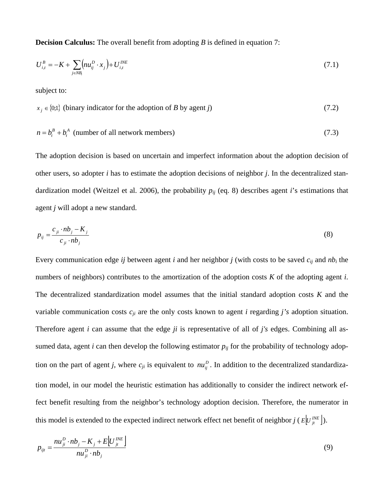**Decision Calculus:** The overall benefit from adopting *B* is defined in equation 7:

$$
U_{i,t}^{B} = -K + \sum_{j \in NB_i} \left( n u_{ij}^{D} \cdot x_j \right) + U_{i,t}^{INE}
$$
\n(7.1)

subject to:

$$
x_j \in \{0,1\} \text{ (binary indicator for the adoption of } B \text{ by agent } j\text{)} \tag{7.2}
$$

$$
n = b_t^B + b_t^A
$$
 (number of all network members) (7.3)

The adoption decision is based on uncertain and imperfect information about the adoption decision of other users, so adopter *i* has to estimate the adoption decisions of neighbor *j*. In the decentralized standardization model (Weitzel et al. 2006), the probability *pij* (eq. 8) describes agent *i*'s estimations that agent *j* will adopt a new standard.

$$
p_{ij} = \frac{c_{ji} \cdot nb_j - K_j}{c_{ji} \cdot nb_j} \tag{8}
$$

Every communication edge *ij* between agent *i* and her neighbor *j* (with costs to be saved  $c_{ij}$  and  $nb_i$  the numbers of neighbors) contributes to the amortization of the adoption costs *K* of the adopting agent *i*. The decentralized standardization model assumes that the initial standard adoption costs *K* and the variable communication costs *cji* are the only costs known to agent *i* regarding *j's* adoption situation. Therefore agent *i* can assume that the edge *ji* is representative of all of *j's* edges. Combining all assumed data, agent *i* can then develop the following estimator  $p_{ij}$  for the probability of technology adoption on the part of agent *j*, where  $c_{ji}$  is equivalent to  $nu_{ij}^D$ . In addition to the decentralized standardization model, in our model the heuristic estimation has additionally to consider the indirect network effect benefit resulting from the neighbor's technology adoption decision. Therefore, the numerator in this model is extended to the expected indirect network effect net benefit of neighbor *j* ( $E \left[ U_{ji}^{INE} \right]$ ).

$$
p_{ijt} = \frac{n u_{ji}^D \cdot nb_j - K_j + E[U_{jt}^{INE}]}{n u_{ji}^D \cdot nb_j}
$$
\n(9)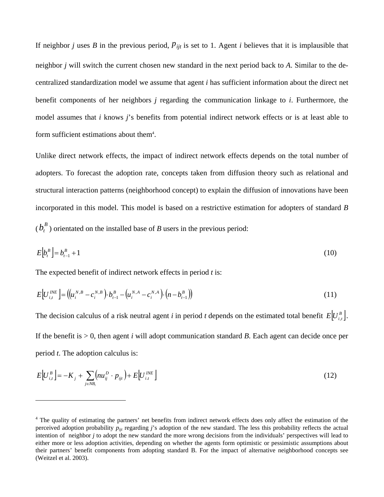If neighbor *j* uses *B* in the previous period,  $p_{ijt}$  is set to 1. Agent *i* believes that it is implausible that neighbor *j* will switch the current chosen new standard in the next period back to *A*. Similar to the decentralized standardization model we assume that agent *i* has sufficient information about the direct net benefit components of her neighbors *j* regarding the communication linkage to *i*. Furthermore, the model assumes that *i* knows *j*'s benefits from potential indirect network effects or is at least able to form sufficient estimations about them<sup>4</sup>.

Unlike direct network effects, the impact of indirect network effects depends on the total number of adopters. To forecast the adoption rate, concepts taken from diffusion theory such as relational and structural interaction patterns (neighborhood concept) to explain the diffusion of innovations have been incorporated in this model. This model is based on a restrictive estimation for adopters of standard *B*  $(b<sup>B</sup><sub>t</sub>)$  orientated on the installed base of *B* users in the previous period:

$$
E[b_i^B] = b_{i-1}^B + 1 \tag{10}
$$

The expected benefit of indirect network effects in period *t* is:

 $\overline{a}$ 

$$
E[U_{i,t}^{INE}] = ((u_i^{N,B} - c_i^{N,B}) \cdot b_{t-1}^B - (u_i^{N,A} - c_i^{N,A}) \cdot (n - b_{t-1}^B))
$$
\n(11)

The decision calculus of a risk neutral agent *i* in period *t* depends on the estimated total benefit  $E[U_{i}^{B}]$ . If the benefit is  $> 0$ , then agent *i* will adopt communication standard *B*. Each agent can decide once per period *t*. The adoption calculus is:

$$
E[U_{i,t}^{B}] = -K_j + \sum_{j \in NB_i} \left( n u_{ij}^{D} \cdot p_{ijt} \right) + E[U_{i,t}^{INE}] \tag{12}
$$

<sup>&</sup>lt;sup>4</sup> The quality of estimating the partners' net benefits from indirect network effects does only affect the estimation of the perceived adoption probability  $p_{ijt}$  regarding *j*'s adoption of the new standard. The less this probability reflects the actual intention of neighbor *j* to adopt the new standard the more wrong decisions from the individuals' perspectives will lead to either more or less adoption activities, depending on whether the agents form optimistic or pessimistic assumptions about their partners' benefit components from adopting standard B. For the impact of alternative neighborhood concepts see (Weitzel et al. 2003).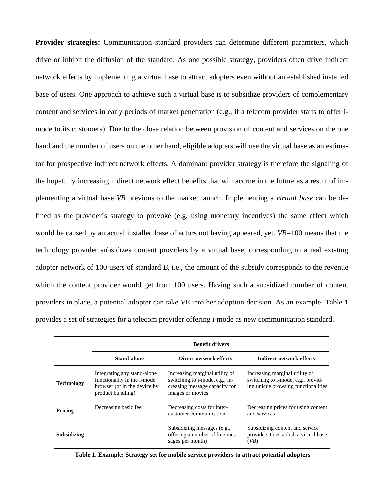**Provider strategies:** Communication standard providers can determine different parameters, which drive or inhibit the diffusion of the standard. As one possible strategy, providers often drive indirect network effects by implementing a virtual base to attract adopters even without an established installed base of users. One approach to achieve such a virtual base is to subsidize providers of complementary content and services in early periods of market penetration (e.g., if a telecom provider starts to offer imode to its customers). Due to the close relation between provision of content and services on the one hand and the number of users on the other hand, eligible adopters will use the virtual base as an estimator for prospective indirect network effects. A dominant provider strategy is therefore the signaling of the hopefully increasing indirect network effect benefits that will accrue in the future as a result of implementing a virtual base *VB* previous to the market launch. Implementing a *virtual base* can be defined as the provider's strategy to provoke (e.g. using monetary incentives) the same effect which would be caused by an actual installed base of actors not having appeared, yet. *VB*=100 means that the technology provider subsidizes content providers by a virtual base, corresponding to a real existing adopter network of 100 users of standard *B*, i.e., the amount of the subsidy corresponds to the revenue which the content provider would get from 100 users. Having such a subsidized number of content providers in place, a potential adopter can take *VB* into her adoption decision. As an example, Table 1 provides a set of strategies for a telecom provider offering i-mode as new communication standard.

|                    | <b>Benefit drivers</b>                                                                                                  |                                                                                                                       |                                                                                                             |  |  |
|--------------------|-------------------------------------------------------------------------------------------------------------------------|-----------------------------------------------------------------------------------------------------------------------|-------------------------------------------------------------------------------------------------------------|--|--|
|                    | Stand-alone                                                                                                             | Direct network effects                                                                                                | Indirect network effects                                                                                    |  |  |
| <b>Technology</b>  | Integrating any stand-alone<br>functionality in the <i>i</i> -mode<br>browser (or in the device by<br>product bundling) | Increasing marginal utility of<br>switching to i-mode, e.g., in-<br>creasing message capacity for<br>images or movies | Increasing marginal utility of<br>switching to i-mode, e.g., provid-<br>ing unique browsing functionalities |  |  |
| Pricing            | Decreasing basic fee.                                                                                                   | Decreasing costs for inter-<br>customer communication                                                                 | Decreasing prices for using content<br>and services                                                         |  |  |
| <b>Subsidizing</b> |                                                                                                                         | Subsidizing messages (e.g.,<br>offering a number of free mes-<br>sages per month)                                     | Subsidizing content and service<br>providers to establish a virtual base<br>(VB)                            |  |  |

 **Table 1. Example: Strategy set for mobile service providers to attract potential adopters**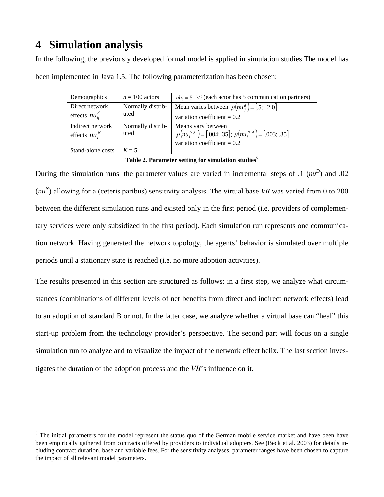# **4 Simulation analysis**

 $\overline{a}$ 

In the following, the previously developed formal model is applied in simulation studies.The model has been implemented in Java 1.5. The following parameterization has been chosen:

| Demographics                         | $n = 100$ actors          | $nb_i = 5$ $\forall i$ (each actor has 5 communication partners)                                                        |
|--------------------------------------|---------------------------|-------------------------------------------------------------------------------------------------------------------------|
| Direct network                       | Normally distrib-         | Mean varies between $\mu(nu_{ii}^d) =$ [.5; 2.0]                                                                        |
| effects $nu_{ii}^d$                  | uted                      | variation coefficient = $0.2$                                                                                           |
| Indirect network<br>effects $nu_i^N$ | Normally distrib-<br>uted | Means vary between<br>$\mu(nu_i^{N,B}) = [.004; .35]; \ \mu(nu_i^{N,A}) = [.003; .35]$<br>variation coefficient = $0.2$ |
| Stand-alone costs                    | $K=5$                     |                                                                                                                         |

**Table 2. Parameter setting for simulation studies<sup>5</sup>**

During the simulation runs, the parameter values are varied in incremental steps of  $\Lambda$  ( $nu^D$ ) and  $\Lambda$ 02  $(nu<sup>N</sup>)$  allowing for a (ceteris paribus) sensitivity analysis. The virtual base *VB* was varied from 0 to 200 between the different simulation runs and existed only in the first period (i.e. providers of complementary services were only subsidized in the first period). Each simulation run represents one communication network. Having generated the network topology, the agents' behavior is simulated over multiple periods until a stationary state is reached (i.e. no more adoption activities).

The results presented in this section are structured as follows: in a first step, we analyze what circumstances (combinations of different levels of net benefits from direct and indirect network effects) lead to an adoption of standard B or not. In the latter case, we analyze whether a virtual base can "heal" this start-up problem from the technology provider's perspective. The second part will focus on a single simulation run to analyze and to visualize the impact of the network effect helix. The last section investigates the duration of the adoption process and the *VB*'s influence on it.

<sup>&</sup>lt;sup>5</sup> The initial parameters for the model represent the status quo of the German mobile service market and have been have been empirically gathered from contracts offered by providers to individual adopters. See (Beck et al. 2003) for details including contract duration, base and variable fees. For the sensitivity analyses, parameter ranges have been chosen to capture the impact of all relevant model parameters.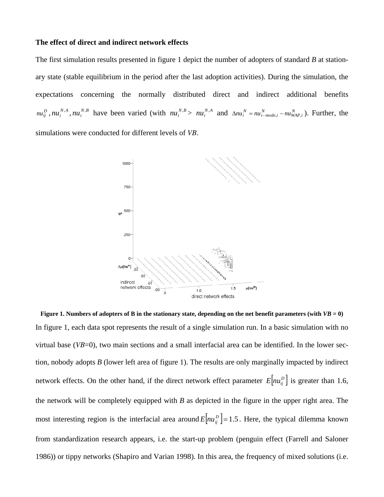#### **The effect of direct and indirect network effects**

The first simulation results presented in figure 1 depict the number of adopters of standard *B* at stationary state (stable equilibrium in the period after the last adoption activities). During the simulation, the expectations concerning the normally distributed direct and indirect additional benefits  $nu_j^D$ ,  $nu_i^{N,A}$ ,  $nu_i^{N,B}$  have been varied (with  $nu_i^{N,B} > nu_i^{N,A}$  and  $\Delta nu_i^N = nu_{i-model,i}^N - nu_{WAP,i}^N$ ). Further, the simulations were conducted for different levels of *VB*.



**Figure 1. Numbers of adopters of B in the stationary state, depending on the net benefit parameters (with**  $VB = 0$ **)** In figure 1, each data spot represents the result of a single simulation run. In a basic simulation with no virtual base (*VB*=0), two main sections and a small interfacial area can be identified. In the lower section, nobody adopts *B* (lower left area of figure 1). The results are only marginally impacted by indirect network effects. On the other hand, if the direct network effect parameter  $E \left[ n u_{ij}^D \right]$  is greater than 1.6, the network will be completely equipped with *B* as depicted in the figure in the upper right area. The most interesting region is the interfacial area around  $E \left[ nu_j^D \right] = 1.5$ . Here, the typical dilemma known from standardization research appears, i.e. the start-up problem (penguin effect (Farrell and Saloner 1986)) or tippy networks (Shapiro and Varian 1998). In this area, the frequency of mixed solutions (i.e.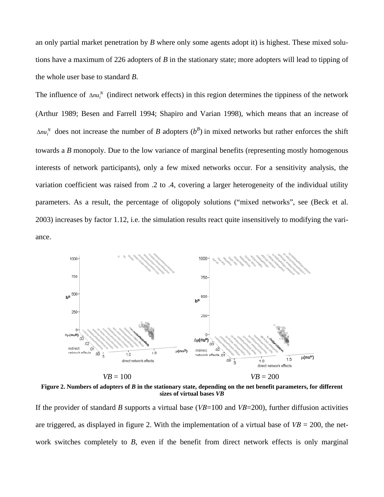an only partial market penetration by *B* where only some agents adopt it) is highest. These mixed solutions have a maximum of 226 adopters of *B* in the stationary state; more adopters will lead to tipping of the whole user base to standard *B*.

The influence of  $\Delta nu_i^N$  (indirect network effects) in this region determines the tippiness of the network (Arthur 1989; Besen and Farrell 1994; Shapiro and Varian 1998), which means that an increase of  $\Delta nu_i^N$  does not increase the number of *B* adopters  $(b^B)$  in mixed networks but rather enforces the shift towards a *B* monopoly. Due to the low variance of marginal benefits (representing mostly homogenous interests of network participants), only a few mixed networks occur. For a sensitivity analysis, the variation coefficient was raised from .2 to .4, covering a larger heterogeneity of the individual utility parameters. As a result, the percentage of oligopoly solutions ("mixed networks", see (Beck et al. 2003) increases by factor 1.12, i.e. the simulation results react quite insensitively to modifying the variance.



**Figure 2. Numbers of adopters of** *B* **in the stationary state, depending on the net benefit parameters, for different sizes of virtual bases** *VB*

If the provider of standard *B* supports a virtual base (*VB*=100 and *VB*=200), further diffusion activities are triggered, as displayed in figure 2. With the implementation of a virtual base of  $VB = 200$ , the network switches completely to *B*, even if the benefit from direct network effects is only marginal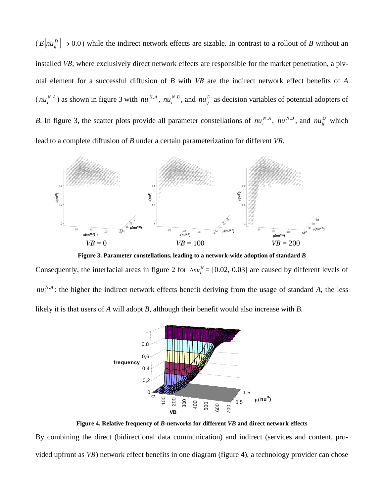$(E \mid nu_{ij}^D \rightarrow 0.0)$  while the indirect network effects are sizable. In contrast to a rollout of *B* without an installed *VB,* where exclusively direct network effects are responsible for the market penetration, a pivotal element for a successful diffusion of *B* with *VB* are the indirect network effect benefits of *A*  $(nu_i^{N,A})$  as shown in figure 3 with  $nu_i^{N,A}$ ,  $nu_i^{N,B}$ , and  $nu_{ij}^D$  as decision variables of potential adopters of *B*. In figure 3, the scatter plots provide all parameter constellations of  $nu_i^{N,A}$ ,  $nu_i^{N,B}$ , and  $nu_{ij}^D$  which lead to a complete diffusion of *B* under a certain parameterization for different *VB*.



**Figure 3. Parameter constellations, leading to a network-wide adoption of standard** *B*

Consequently, the interfacial areas in figure 2 for  $\Delta nu_i^N = [0.02, 0.03]$  are caused by different levels of  $nu_i^{N,A}$ : the higher the indirect network effects benefit deriving from the usage of standard *A*, the less likely it is that users of *A* will adopt *B*, although their benefit would also increase with *B*.



**Figure 4. Relative frequency of** *B***-networks for different** *VB* **and direct network effects** 

By combining the direct (bidirectional data communication) and indirect (services and content, provided upfront as *VB*) network effect benefits in one diagram (figure 4), a technology provider can chose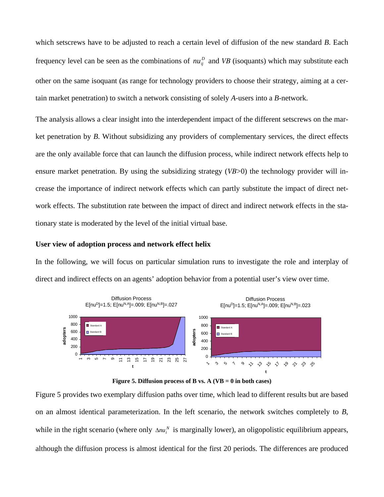which setscrews have to be adjusted to reach a certain level of diffusion of the new standard *B*. Each frequency level can be seen as the combinations of  $nu_{ij}^D$  and *VB* (isoquants) which may substitute each other on the same isoquant (as range for technology providers to choose their strategy, aiming at a certain market penetration) to switch a network consisting of solely *A*-users into a *B*-network.

The analysis allows a clear insight into the interdependent impact of the different setscrews on the market penetration by *B*. Without subsidizing any providers of complementary services, the direct effects are the only available force that can launch the diffusion process, while indirect network effects help to ensure market penetration. By using the subsidizing strategy (*VB*>0) the technology provider will increase the importance of indirect network effects which can partly substitute the impact of direct network effects. The substitution rate between the impact of direct and indirect network effects in the stationary state is moderated by the level of the initial virtual base.

#### **User view of adoption process and network effect helix**

In the following, we will focus on particular simulation runs to investigate the role and interplay of direct and indirect effects on an agents' adoption behavior from a potential user's view over time.





Figure 5 provides two exemplary diffusion paths over time, which lead to different results but are based on an almost identical parameterization. In the left scenario, the network switches completely to *B*, while in the right scenario (where only  $\Delta nu_i^N$  is marginally lower), an oligopolistic equilibrium appears, although the diffusion process is almost identical for the first 20 periods. The differences are produced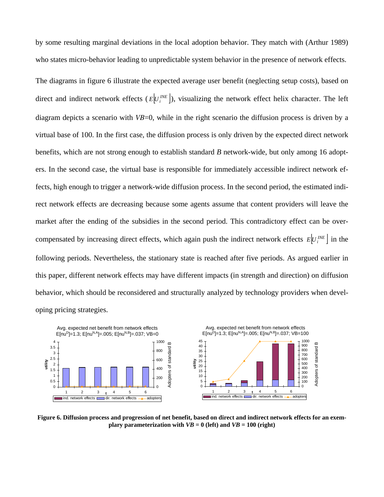by some resulting marginal deviations in the local adoption behavior. They match with (Arthur 1989) who states micro-behavior leading to unpredictable system behavior in the presence of network effects.

The diagrams in figure 6 illustrate the expected average user benefit (neglecting setup costs), based on direct and indirect network effects ( $E[U_i^{INE}]$ ), visualizing the network effect helix character. The left diagram depicts a scenario with *VB*=0, while in the right scenario the diffusion process is driven by a virtual base of 100. In the first case, the diffusion process is only driven by the expected direct network benefits, which are not strong enough to establish standard *B* network-wide, but only among 16 adopters. In the second case, the virtual base is responsible for immediately accessible indirect network effects, high enough to trigger a network-wide diffusion process. In the second period, the estimated indirect network effects are decreasing because some agents assume that content providers will leave the market after the ending of the subsidies in the second period. This contradictory effect can be overcompensated by increasing direct effects, which again push the indirect network effects  $E | U_i^{INE} |$  in the following periods. Nevertheless, the stationary state is reached after five periods. As argued earlier in this paper, different network effects may have different impacts (in strength and direction) on diffusion behavior, which should be reconsidered and structurally analyzed by technology providers when developing pricing strategies.



**Figure 6. Diffusion process and progression of net benefit, based on direct and indirect network effects for an exemplary parameterization with**  $VB = 0$  **(left) and**  $VB = 100$  **(right)**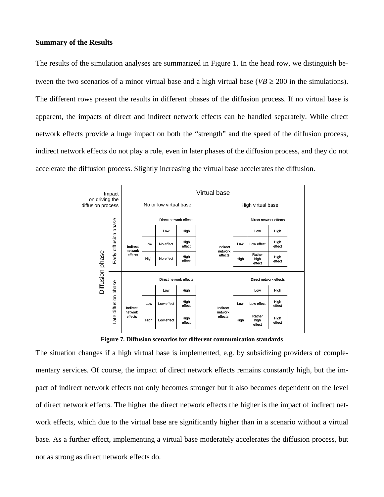#### **Summary of the Results**

The results of the simulation analyses are summarized in Figure 1. In the head row, we distinguish between the two scenarios of a minor virtual base and a high virtual base ( $VB \ge 200$  in the simulations). The different rows present the results in different phases of the diffusion process. If no virtual base is apparent, the impacts of direct and indirect network effects can be handled separately. While direct network effects provide a huge impact on both the "strength" and the speed of the diffusion process, indirect network effects do not play a role, even in later phases of the diffusion process, and they do not accelerate the diffusion process. Slightly increasing the virtual base accelerates the diffusion.

| Impact<br>on driving the<br>diffusion process |                         | Virtual base                   |      |                        |                |                   |                                |      |                          |                |  |
|-----------------------------------------------|-------------------------|--------------------------------|------|------------------------|----------------|-------------------|--------------------------------|------|--------------------------|----------------|--|
|                                               |                         | No or low virtual base         |      |                        |                | High virtual base |                                |      |                          |                |  |
|                                               |                         | Direct network effects         |      |                        |                |                   | Direct network effects         |      |                          |                |  |
|                                               | Early diffusion phase   | Indirect<br>network<br>effects |      | Low                    | High           |                   | Indirect<br>network<br>effects |      | Low                      | High           |  |
| Diffusion phase                               |                         |                                | Low  | No effect              | High<br>effect |                   |                                | Low  | Low effect               | High<br>effect |  |
|                                               |                         |                                | High | No effect              | High<br>effect |                   |                                | High | Rather<br>high<br>effect | High<br>effect |  |
|                                               |                         |                                |      | Direct network effects |                |                   |                                |      | Direct network effects   |                |  |
|                                               | diffusion phase<br>Late | Indirect<br>network<br>effects |      | Low                    | High           |                   | Indirect<br>network<br>effects |      | Low                      | High           |  |
|                                               |                         |                                | Low  | Low effect             | High<br>effect |                   |                                | Low  | Low effect               | High<br>effect |  |
|                                               |                         |                                | High | Low effect             | High<br>effect |                   |                                | High | Rather<br>high<br>effect | High<br>effect |  |
|                                               |                         |                                |      |                        |                |                   |                                |      |                          |                |  |

**Figure 7. Diffusion scenarios for different communication standards** 

The situation changes if a high virtual base is implemented, e.g. by subsidizing providers of complementary services. Of course, the impact of direct network effects remains constantly high, but the impact of indirect network effects not only becomes stronger but it also becomes dependent on the level of direct network effects. The higher the direct network effects the higher is the impact of indirect network effects, which due to the virtual base are significantly higher than in a scenario without a virtual base. As a further effect, implementing a virtual base moderately accelerates the diffusion process, but not as strong as direct network effects do.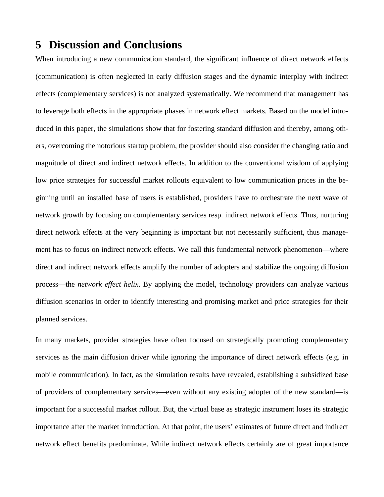## **5 Discussion and Conclusions**

When introducing a new communication standard, the significant influence of direct network effects (communication) is often neglected in early diffusion stages and the dynamic interplay with indirect effects (complementary services) is not analyzed systematically. We recommend that management has to leverage both effects in the appropriate phases in network effect markets. Based on the model introduced in this paper, the simulations show that for fostering standard diffusion and thereby, among others, overcoming the notorious startup problem, the provider should also consider the changing ratio and magnitude of direct and indirect network effects. In addition to the conventional wisdom of applying low price strategies for successful market rollouts equivalent to low communication prices in the beginning until an installed base of users is established, providers have to orchestrate the next wave of network growth by focusing on complementary services resp. indirect network effects. Thus, nurturing direct network effects at the very beginning is important but not necessarily sufficient, thus management has to focus on indirect network effects. We call this fundamental network phenomenon—where direct and indirect network effects amplify the number of adopters and stabilize the ongoing diffusion process—the *network effect helix*. By applying the model, technology providers can analyze various diffusion scenarios in order to identify interesting and promising market and price strategies for their planned services.

In many markets, provider strategies have often focused on strategically promoting complementary services as the main diffusion driver while ignoring the importance of direct network effects (e.g. in mobile communication). In fact, as the simulation results have revealed, establishing a subsidized base of providers of complementary services—even without any existing adopter of the new standard—is important for a successful market rollout. But, the virtual base as strategic instrument loses its strategic importance after the market introduction. At that point, the users' estimates of future direct and indirect network effect benefits predominate. While indirect network effects certainly are of great importance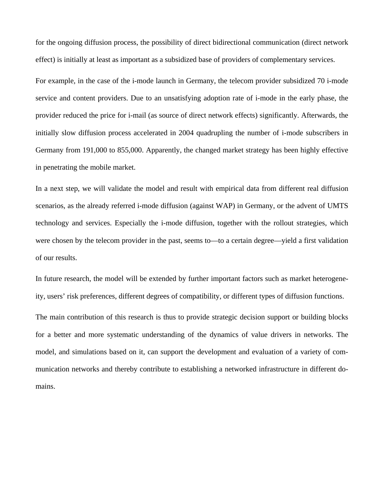for the ongoing diffusion process, the possibility of direct bidirectional communication (direct network effect) is initially at least as important as a subsidized base of providers of complementary services.

For example, in the case of the i-mode launch in Germany, the telecom provider subsidized 70 i-mode service and content providers. Due to an unsatisfying adoption rate of i-mode in the early phase, the provider reduced the price for i-mail (as source of direct network effects) significantly. Afterwards, the initially slow diffusion process accelerated in 2004 quadrupling the number of i-mode subscribers in Germany from 191,000 to 855,000. Apparently, the changed market strategy has been highly effective in penetrating the mobile market.

In a next step, we will validate the model and result with empirical data from different real diffusion scenarios, as the already referred i-mode diffusion (against WAP) in Germany, or the advent of UMTS technology and services. Especially the i-mode diffusion, together with the rollout strategies, which were chosen by the telecom provider in the past, seems to—to a certain degree—yield a first validation of our results.

In future research, the model will be extended by further important factors such as market heterogeneity, users' risk preferences, different degrees of compatibility, or different types of diffusion functions. The main contribution of this research is thus to provide strategic decision support or building blocks for a better and more systematic understanding of the dynamics of value drivers in networks. The model, and simulations based on it, can support the development and evaluation of a variety of communication networks and thereby contribute to establishing a networked infrastructure in different domains.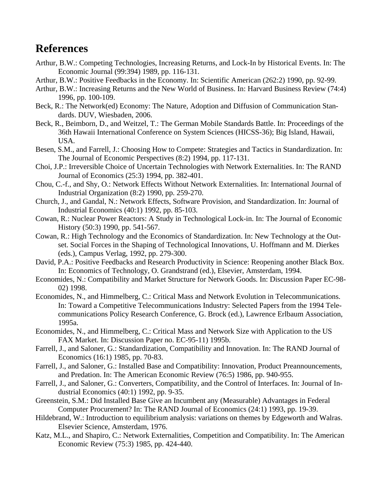# **References**

- Arthur, B.W.: Competing Technologies, Increasing Returns, and Lock-In by Historical Events. In: The Economic Journal (99:394) 1989, pp. 116-131.
- Arthur, B.W.: Positive Feedbacks in the Economy. In: Scientific American (262:2) 1990, pp. 92-99.
- Arthur, B.W.: Increasing Returns and the New World of Business. In: Harvard Business Review (74:4) 1996, pp. 100-109.
- Beck, R.: The Network(ed) Economy: The Nature, Adoption and Diffusion of Communication Standards. DUV, Wiesbaden, 2006.
- Beck, R., Beimborn, D., and Weitzel, T.: The German Mobile Standards Battle. In: Proceedings of the 36th Hawaii International Conference on System Sciences (HICSS-36); Big Island, Hawaii, USA.
- Besen, S.M., and Farrell, J.: Choosing How to Compete: Strategies and Tactics in Standardization. In: The Journal of Economic Perspectives (8:2) 1994, pp. 117-131.
- Choi, J.P.: Irreversible Choice of Uncertain Technologies with Network Externalities. In: The RAND Journal of Economics (25:3) 1994, pp. 382-401.
- Chou, C.-f., and Shy, O.: Network Effects Without Network Externalities. In: International Journal of Industrial Organization (8:2) 1990, pp. 259-270.
- Church, J., and Gandal, N.: Network Effects, Software Provision, and Standardization. In: Journal of Industrial Economics (40:1) 1992, pp. 85-103.
- Cowan, R.: Nuclear Power Reactors: A Study in Technological Lock-in. In: The Journal of Economic History (50:3) 1990, pp. 541-567.
- Cowan, R.: High Technology and the Economics of Standardization. In: New Technology at the Outset. Social Forces in the Shaping of Technological Innovations*,* U. Hoffmann and M. Dierkes (eds.), Campus Verlag, 1992, pp. 279-300.
- David, P.A.: Positive Feedbacks and Research Productivity in Science: Reopening another Black Box. In: Economics of Technology*,* O. Grandstrand (ed.), Elsevier, Amsterdam, 1994.
- Economides, N.: Compatibility and Market Structure for Network Goods. In: Discussion Paper EC-98- 02) 1998.
- Economides, N., and Himmelberg, C.: Critical Mass and Network Evolution in Telecommunications. In: Toward a Competitive Telecommunications Industry: Selected Papers from the 1994 Telecommunications Policy Research Conference*,* G. Brock (ed.), Lawrence Erlbaum Association, 1995a.
- Economides, N., and Himmelberg, C.: Critical Mass and Network Size with Application to the US FAX Market. In: Discussion Paper no. EC-95-11) 1995b.
- Farrell, J., and Saloner, G.: Standardization, Compatibility and Innovation. In: The RAND Journal of Economics (16:1) 1985, pp. 70-83.
- Farrell, J., and Saloner, G.: Installed Base and Compatibility: Innovation, Product Preannouncements, and Predation. In: The American Economic Review (76:5) 1986, pp. 940-955.
- Farrell, J., and Saloner, G.: Converters, Compatibility, and the Control of Interfaces. In: Journal of Industrial Economics (40:1) 1992, pp. 9-35.
- Greenstein, S.M.: Did Installed Base Give an Incumbent any (Measurable) Advantages in Federal Computer Procurement? In: The RAND Journal of Economics (24:1) 1993, pp. 19-39.
- Hildebrand, W.: Introduction to equilibrium analysis: variations on themes by Edgeworth and Walras. Elsevier Science, Amsterdam, 1976.
- Katz, M.L., and Shapiro, C.: Network Externalities, Competition and Compatibility. In: The American Economic Review (75:3) 1985, pp. 424-440.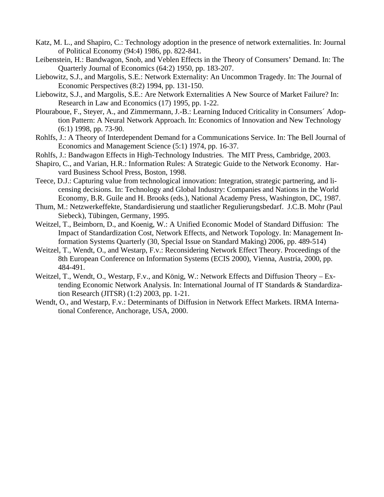- Katz, M. L., and Shapiro, C.: Technology adoption in the presence of network externalities. In: Journal of Political Economy (94:4) 1986, pp. 822-841.
- Leibenstein, H.: Bandwagon, Snob, and Veblen Effects in the Theory of Consumers' Demand. In: The Quarterly Journal of Economics (64:2) 1950, pp. 183-207.
- Liebowitz, S.J., and Margolis, S.E.: Network Externality: An Uncommon Tragedy. In: The Journal of Economic Perspectives (8:2) 1994, pp. 131-150.
- Liebowitz, S.J., and Margolis, S.E.: Are Network Externalities A New Source of Market Failure? In: Research in Law and Economics (17) 1995, pp. 1-22.
- Plouraboue, F., Steyer, A., and Zimmermann, J.-B.: Learning Induced Criticality in Consumers´ Adoption Pattern: A Neural Network Approach. In: Economics of Innovation and New Technology (6:1) 1998, pp. 73-90.
- Rohlfs, J.: A Theory of Interdependent Demand for a Communications Service. In: The Bell Journal of Economics and Management Science (5:1) 1974, pp. 16-37.
- Rohlfs, J.: Bandwagon Effects in High-Technology Industries. The MIT Press, Cambridge, 2003.
- Shapiro, C., and Varian, H.R.: Information Rules: A Strategic Guide to the Network Economy. Harvard Business School Press, Boston, 1998.
- Teece, D.J.: Capturing value from technological innovation: Integration, strategic partnering, and licensing decisions. In: Technology and Global Industry: Companies and Nations in the World Economy*,* B.R. Guile and H. Brooks (eds.), National Academy Press, Washington, DC, 1987.
- Thum, M.: Netzwerkeffekte, Standardisierung und staatlicher Regulierungsbedarf. J.C.B. Mohr (Paul Siebeck), Tübingen, Germany, 1995.
- Weitzel, T., Beimborn, D., and Koenig, W.: A Unified Economic Model of Standard Diffusion: The Impact of Standardization Cost, Network Effects, and Network Topology. In: Management Information Systems Quarterly (30, Special Issue on Standard Making) 2006, pp. 489-514)
- Weitzel, T., Wendt, O., and Westarp, F.v.: Reconsidering Network Effect Theory. Proceedings of the 8th European Conference on Information Systems (ECIS 2000), Vienna, Austria, 2000, pp. 484-491.
- Weitzel, T., Wendt, O., Westarp, F.v., and König, W.: Network Effects and Diffusion Theory Extending Economic Network Analysis. In: International Journal of IT Standards & Standardization Research (JITSR) (1:2) 2003, pp. 1-21.
- Wendt, O., and Westarp, F.v.: Determinants of Diffusion in Network Effect Markets. IRMA International Conference, Anchorage, USA, 2000.